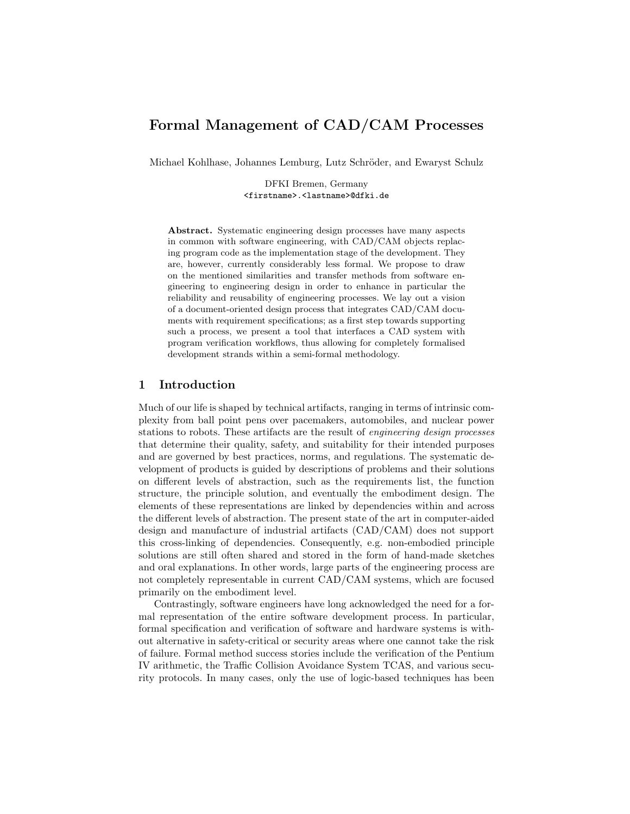# Formal Management of CAD/CAM Processes

Michael Kohlhase, Johannes Lemburg, Lutz Schröder, and Ewaryst Schulz

DFKI Bremen, Germany <firstname>.<lastname>@dfki.de

Abstract. Systematic engineering design processes have many aspects in common with software engineering, with CAD/CAM objects replacing program code as the implementation stage of the development. They are, however, currently considerably less formal. We propose to draw on the mentioned similarities and transfer methods from software engineering to engineering design in order to enhance in particular the reliability and reusability of engineering processes. We lay out a vision of a document-oriented design process that integrates CAD/CAM documents with requirement specifications; as a first step towards supporting such a process, we present a tool that interfaces a CAD system with program verification workflows, thus allowing for completely formalised development strands within a semi-formal methodology.

### 1 Introduction

Much of our life is shaped by technical artifacts, ranging in terms of intrinsic complexity from ball point pens over pacemakers, automobiles, and nuclear power stations to robots. These artifacts are the result of engineering design processes that determine their quality, safety, and suitability for their intended purposes and are governed by best practices, norms, and regulations. The systematic development of products is guided by descriptions of problems and their solutions on different levels of abstraction, such as the requirements list, the function structure, the principle solution, and eventually the embodiment design. The elements of these representations are linked by dependencies within and across the different levels of abstraction. The present state of the art in computer-aided design and manufacture of industrial artifacts (CAD/CAM) does not support this cross-linking of dependencies. Consequently, e.g. non-embodied principle solutions are still often shared and stored in the form of hand-made sketches and oral explanations. In other words, large parts of the engineering process are not completely representable in current CAD/CAM systems, which are focused primarily on the embodiment level.

Contrastingly, software engineers have long acknowledged the need for a formal representation of the entire software development process. In particular, formal specification and verification of software and hardware systems is without alternative in safety-critical or security areas where one cannot take the risk of failure. Formal method success stories include the verification of the Pentium IV arithmetic, the Traffic Collision Avoidance System TCAS, and various security protocols. In many cases, only the use of logic-based techniques has been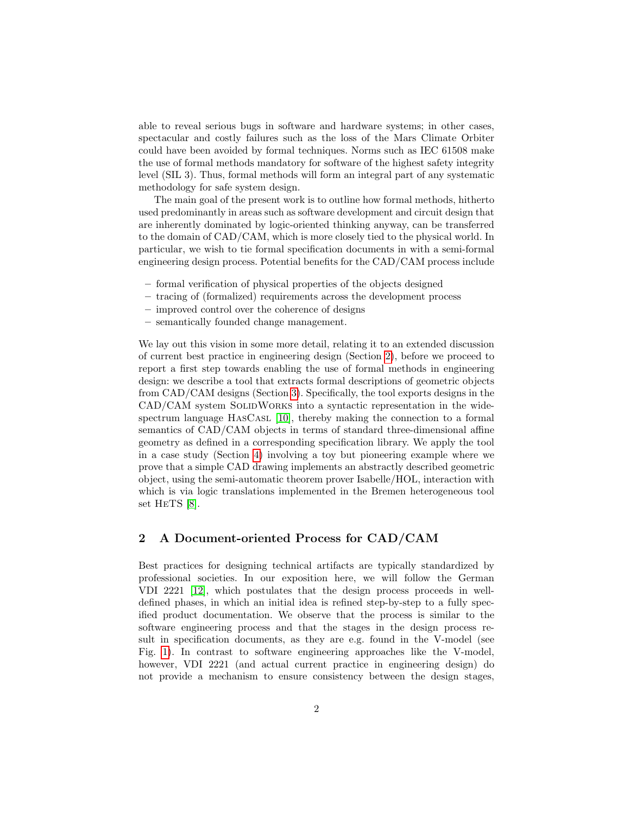able to reveal serious bugs in software and hardware systems; in other cases, spectacular and costly failures such as the loss of the Mars Climate Orbiter could have been avoided by formal techniques. Norms such as IEC 61508 make the use of formal methods mandatory for software of the highest safety integrity level (SIL 3). Thus, formal methods will form an integral part of any systematic methodology for safe system design.

The main goal of the present work is to outline how formal methods, hitherto used predominantly in areas such as software development and circuit design that are inherently dominated by logic-oriented thinking anyway, can be transferred to the domain of CAD/CAM, which is more closely tied to the physical world. In particular, we wish to tie formal specification documents in with a semi-formal engineering design process. Potential benefits for the CAD/CAM process include

- formal verification of physical properties of the objects designed
- tracing of (formalized) requirements across the development process
- improved control over the coherence of designs
- semantically founded change management.

We lay out this vision in some more detail, relating it to an extended discussion of current best practice in engineering design (Section [2\)](#page-1-0), before we proceed to report a first step towards enabling the use of formal methods in engineering design: we describe a tool that extracts formal descriptions of geometric objects from CAD/CAM designs (Section [3\)](#page-5-0). Specifically, the tool exports designs in the CAD/CAM system SOLIDWORKS into a syntactic representation in the wide-spectrum language HASCASL [\[10\]](#page-15-0), thereby making the connection to a formal semantics of CAD/CAM objects in terms of standard three-dimensional affine geometry as defined in a corresponding specification library. We apply the tool in a case study (Section [4\)](#page-8-0) involving a toy but pioneering example where we prove that a simple CAD drawing implements an abstractly described geometric object, using the semi-automatic theorem prover Isabelle/HOL, interaction with which is via logic translations implemented in the Bremen heterogeneous tool set HeTS [\[8\]](#page-15-1).

## <span id="page-1-0"></span>2 A Document-oriented Process for CAD/CAM

Best practices for designing technical artifacts are typically standardized by professional societies. In our exposition here, we will follow the German VDI 2221 [\[12\]](#page-15-2), which postulates that the design process proceeds in welldefined phases, in which an initial idea is refined step-by-step to a fully specified product documentation. We observe that the process is similar to the software engineering process and that the stages in the design process result in specification documents, as they are e.g. found in the V-model (see Fig. [1\)](#page-2-0). In contrast to software engineering approaches like the V-model, however, VDI 2221 (and actual current practice in engineering design) do not provide a mechanism to ensure consistency between the design stages,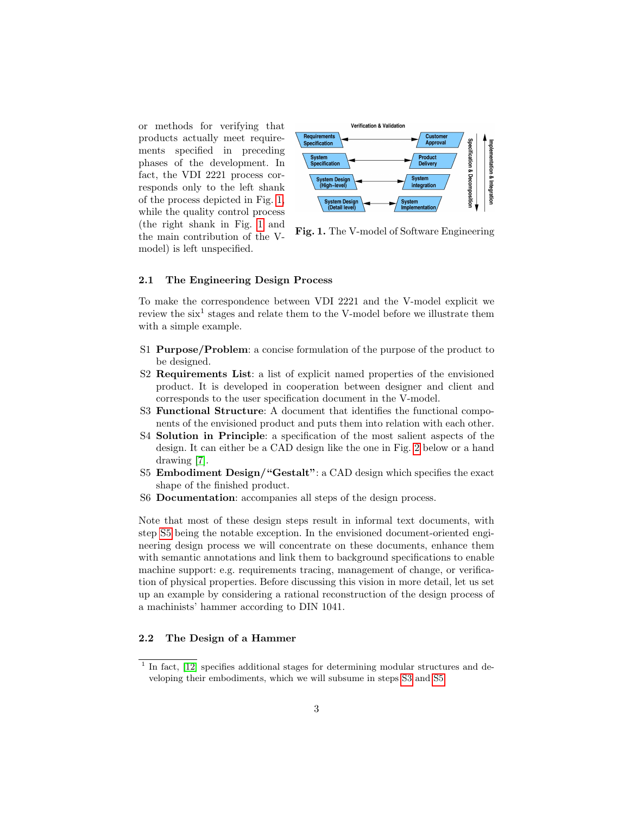or methods for verifying that products actually meet requirements specified in preceding phases of the development. In fact, the VDI 2221 process corresponds only to the left shank of the process depicted in Fig. [1,](#page-2-0) while the quality control process (the right shank in Fig. [1](#page-2-0) and the main contribution of the Vmodel) is left unspecified.



<span id="page-2-0"></span>Fig. 1. The V-model of Software Engineering

#### 2.1 The Engineering Design Process

To make the correspondence between VDI 2221 and the V-model explicit we review the  $\sin^1$  stages and relate them to the V-model before we illustrate them with a simple example.

- S1 Purpose/Problem: a concise formulation of the purpose of the product to be designed.
- S2 Requirements List: a list of explicit named properties of the envisioned product. It is developed in cooperation between designer and client and corresponds to the user specification document in the V-model.
- <span id="page-2-2"></span>S3 Functional Structure: A document that identifies the functional components of the envisioned product and puts them into relation with each other.
- S4 Solution in Principle: a specification of the most salient aspects of the design. It can either be a CAD design like the one in Fig. [2](#page-4-0) below or a hand drawing [\[7\]](#page-15-3).
- <span id="page-2-1"></span>S5 Embodiment Design/"Gestalt": a CAD design which specifies the exact shape of the finished product.
- S6 Documentation: accompanies all steps of the design process.

Note that most of these design steps result in informal text documents, with step [S5](#page-2-1) being the notable exception. In the envisioned document-oriented engineering design process we will concentrate on these documents, enhance them with semantic annotations and link them to background specifications to enable machine support: e.g. requirements tracing, management of change, or verification of physical properties. Before discussing this vision in more detail, let us set up an example by considering a rational reconstruction of the design process of a machinists' hammer according to DIN 1041.

### 2.2 The Design of a Hammer

<sup>&</sup>lt;sup>1</sup> In fact, [\[12\]](#page-15-2) specifies additional stages for determining modular structures and developing their embodiments, which we will subsume in steps [S3](#page-2-2) and [S5](#page-2-1)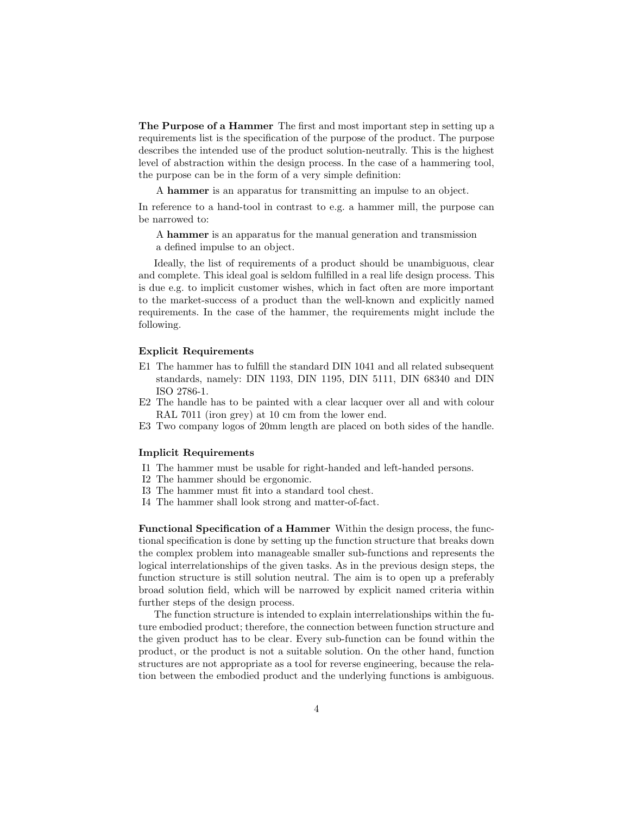The Purpose of a Hammer The first and most important step in setting up a requirements list is the specification of the purpose of the product. The purpose describes the intended use of the product solution-neutrally. This is the highest level of abstraction within the design process. In the case of a hammering tool, the purpose can be in the form of a very simple definition:

A hammer is an apparatus for transmitting an impulse to an object.

In reference to a hand-tool in contrast to e.g. a hammer mill, the purpose can be narrowed to:

A hammer is an apparatus for the manual generation and transmission a defined impulse to an object.

Ideally, the list of requirements of a product should be unambiguous, clear and complete. This ideal goal is seldom fulfilled in a real life design process. This is due e.g. to implicit customer wishes, which in fact often are more important to the market-success of a product than the well-known and explicitly named requirements. In the case of the hammer, the requirements might include the following.

#### Explicit Requirements

- <span id="page-3-0"></span>E1 The hammer has to fulfill the standard DIN 1041 and all related subsequent standards, namely: DIN 1193, DIN 1195, DIN 5111, DIN 68340 and DIN ISO 2786-1.
- <span id="page-3-1"></span>E2 The handle has to be painted with a clear lacquer over all and with colour RAL 7011 (iron grey) at 10 cm from the lower end.
- E3 Two company logos of 20mm length are placed on both sides of the handle.

#### Implicit Requirements

- I1 The hammer must be usable for right-handed and left-handed persons.
- I2 The hammer should be ergonomic.
- I3 The hammer must fit into a standard tool chest.
- I4 The hammer shall look strong and matter-of-fact.

Functional Specification of a Hammer Within the design process, the functional specification is done by setting up the function structure that breaks down the complex problem into manageable smaller sub-functions and represents the logical interrelationships of the given tasks. As in the previous design steps, the function structure is still solution neutral. The aim is to open up a preferably broad solution field, which will be narrowed by explicit named criteria within further steps of the design process.

The function structure is intended to explain interrelationships within the future embodied product; therefore, the connection between function structure and the given product has to be clear. Every sub-function can be found within the product, or the product is not a suitable solution. On the other hand, function structures are not appropriate as a tool for reverse engineering, because the relation between the embodied product and the underlying functions is ambiguous.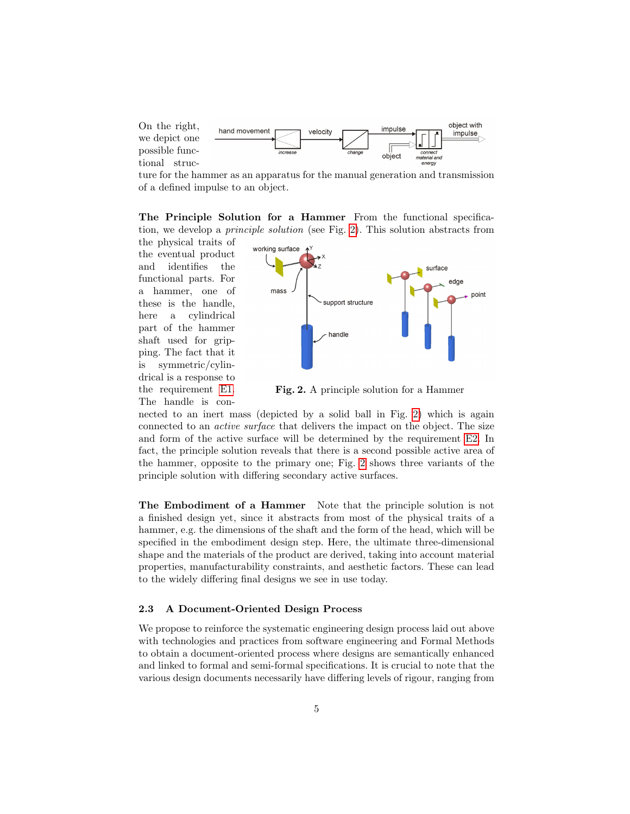

ture for the hammer as an apparatus for the manual generation and transmission of a defined impulse to an object.

The Principle Solution for a Hammer From the functional specification, we develop a principle solution (see Fig. [2\)](#page-4-0). This solution abstracts from

the physical traits of the eventual product and identifies the functional parts. For a hammer, one of these is the handle, here a cylindrical part of the hammer shaft used for gripping. The fact that it is symmetric/cylindrical is a response to the requirement [E1.](#page-3-0) The handle is con-



<span id="page-4-0"></span>Fig. 2. A principle solution for a Hammer

nected to an inert mass (depicted by a solid ball in Fig. [2\)](#page-4-0) which is again connected to an active surface that delivers the impact on the object. The size and form of the active surface will be determined by the requirement [E2.](#page-3-1) In fact, the principle solution reveals that there is a second possible active area of the hammer, opposite to the primary one; Fig. [2](#page-4-0) shows three variants of the principle solution with differing secondary active surfaces.

The Embodiment of a Hammer Note that the principle solution is not a finished design yet, since it abstracts from most of the physical traits of a hammer, e.g. the dimensions of the shaft and the form of the head, which will be specified in the embodiment design step. Here, the ultimate three-dimensional shape and the materials of the product are derived, taking into account material properties, manufacturability constraints, and aesthetic factors. These can lead to the widely differing final designs we see in use today.

#### 2.3 A Document-Oriented Design Process

We propose to reinforce the systematic engineering design process laid out above with technologies and practices from software engineering and Formal Methods to obtain a document-oriented process where designs are semantically enhanced and linked to formal and semi-formal specifications. It is crucial to note that the various design documents necessarily have differing levels of rigour, ranging from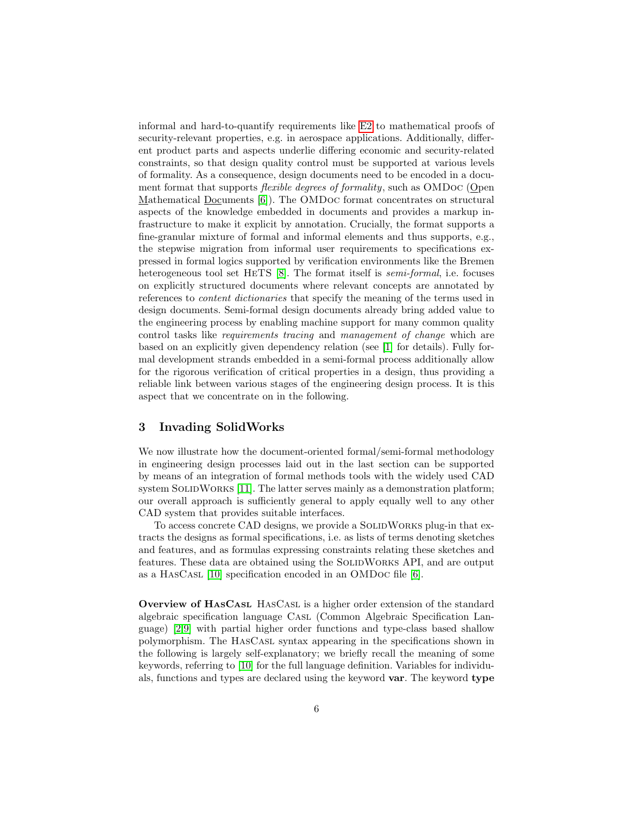informal and hard-to-quantify requirements like [E2](#page-3-1) to mathematical proofs of security-relevant properties, e.g. in aerospace applications. Additionally, different product parts and aspects underlie differing economic and security-related constraints, so that design quality control must be supported at various levels of formality. As a consequence, design documents need to be encoded in a document format that supports *flexible degrees of formality*, such as OMDoc (Open Mathematical Documents [\[6\]](#page-15-4)). The OMDoc format concentrates on structural aspects of the knowledge embedded in documents and provides a markup infrastructure to make it explicit by annotation. Crucially, the format supports a fine-granular mixture of formal and informal elements and thus supports, e.g., the stepwise migration from informal user requirements to specifications expressed in formal logics supported by verification environments like the Bremen heterogeneous tool set HETS [\[8\]](#page-15-1). The format itself is *semi-formal*, i.e. focuses on explicitly structured documents where relevant concepts are annotated by references to content dictionaries that specify the meaning of the terms used in design documents. Semi-formal design documents already bring added value to the engineering process by enabling machine support for many common quality control tasks like requirements tracing and management of change which are based on an explicitly given dependency relation (see [\[1\]](#page-15-5) for details). Fully formal development strands embedded in a semi-formal process additionally allow for the rigorous verification of critical properties in a design, thus providing a reliable link between various stages of the engineering design process. It is this aspect that we concentrate on in the following.

# <span id="page-5-0"></span>3 Invading SolidWorks

We now illustrate how the document-oriented formal/semi-formal methodology in engineering design processes laid out in the last section can be supported by means of an integration of formal methods tools with the widely used CAD system SOLIDWORKS [\[11\]](#page-15-6). The latter serves mainly as a demonstration platform; our overall approach is sufficiently general to apply equally well to any other CAD system that provides suitable interfaces.

To access concrete CAD designs, we provide a SOLIDWORKS plug-in that extracts the designs as formal specifications, i.e. as lists of terms denoting sketches and features, and as formulas expressing constraints relating these sketches and features. These data are obtained using the SOLIDWORKS API, and are output as a HASCASL [\[10\]](#page-15-0) specification encoded in an OMDoc file [\[6\]](#page-15-4).

Overview of HASCASL HasCasl is a higher order extension of the standard algebraic specification language Casl (Common Algebraic Specification Language) [\[2,](#page-15-7)[9\]](#page-15-8) with partial higher order functions and type-class based shallow polymorphism. The HasCasl syntax appearing in the specifications shown in the following is largely self-explanatory; we briefly recall the meaning of some keywords, referring to [\[10\]](#page-15-0) for the full language definition. Variables for individuals, functions and types are declared using the keyword var. The keyword type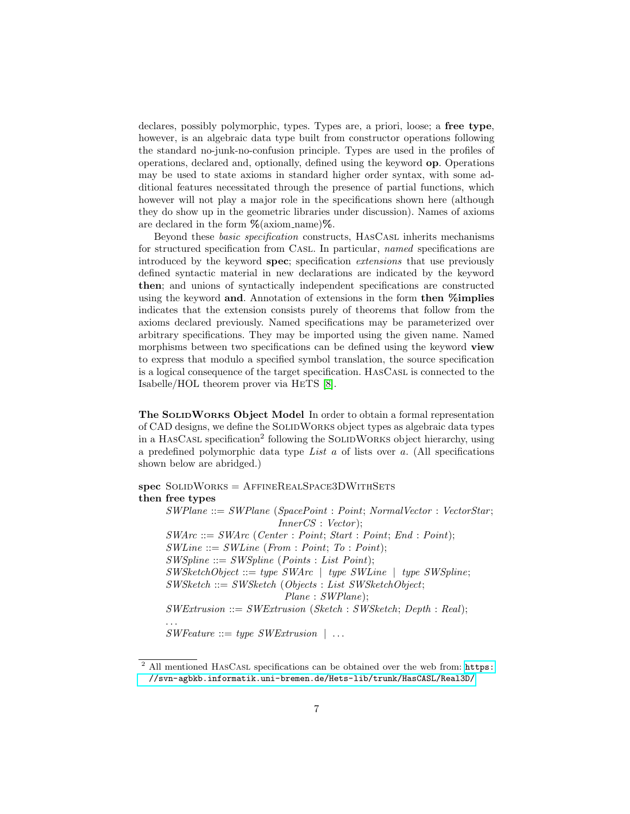declares, possibly polymorphic, types. Types are, a priori, loose; a free type, however, is an algebraic data type built from constructor operations following the standard no-junk-no-confusion principle. Types are used in the profiles of operations, declared and, optionally, defined using the keyword op. Operations may be used to state axioms in standard higher order syntax, with some additional features necessitated through the presence of partial functions, which however will not play a major role in the specifications shown here (although they do show up in the geometric libraries under discussion). Names of axioms are declared in the form  $\%$  (axiom name)%.

Beyond these *basic specification* constructs, HASCASL inherits mechanisms for structured specification from Casl. In particular, named specifications are introduced by the keyword spec; specification extensions that use previously defined syntactic material in new declarations are indicated by the keyword then; and unions of syntactically independent specifications are constructed using the keyword and. Annotation of extensions in the form then %implies indicates that the extension consists purely of theorems that follow from the axioms declared previously. Named specifications may be parameterized over arbitrary specifications. They may be imported using the given name. Named morphisms between two specifications can be defined using the keyword **view** to express that modulo a specified symbol translation, the source specification is a logical consequence of the target specification. HASCASL is connected to the Isabelle/HOL theorem prover via HeTS [\[8\]](#page-15-1).

The SOLIDWORKS Object Model In order to obtain a formal representation of CAD designs, we define the SolidWorks object types as algebraic data types in a HASCASL specification<sup>2</sup> following the SOLIDWORKS object hierarchy, using a predefined polymorphic data type List  $a$  of lists over  $a$ . (All specifications shown below are abridged.)

 $spec$  SOLIDWORKS = AFFINEREALSPACE3DWITHSETS then free types  $SWPlane ::= SWPlane (SpacePoint : Point; NormalVector : VectorStar;$ InnerCS : Vector );  $SWArc ::= SWArc$  (Center : Point; Start : Point; End : Point);  $SWLine ::= SWLine$  (From : Point; To : Point);  $SWSpline ::= SWSpline (Points : List Point);$  $SWSketchObject ::= type SWArc \mid type SWLine \mid type SWSingle;$  $SWSketch ::= SWSketch (Objects: List SWSketchObject;$ Plane : SWPlane);  $SWExtusion ::= SWExtmission (Sketch : SWSketch; Depth : Real);$ . . .  $SWFeature ::= type \textit{SWExtmission} \mid ...$ 

 $2$  All mentioned HASCASL specifications can be obtained over the web from: [https:](https://svn-agbkb.informatik.uni-bremen.de/Hets-lib/trunk/HasCASL/Real3D/) [//svn-agbkb.informatik.uni-bremen.de/Hets-lib/trunk/HasCASL/Real3D/](https://svn-agbkb.informatik.uni-bremen.de/Hets-lib/trunk/HasCASL/Real3D/)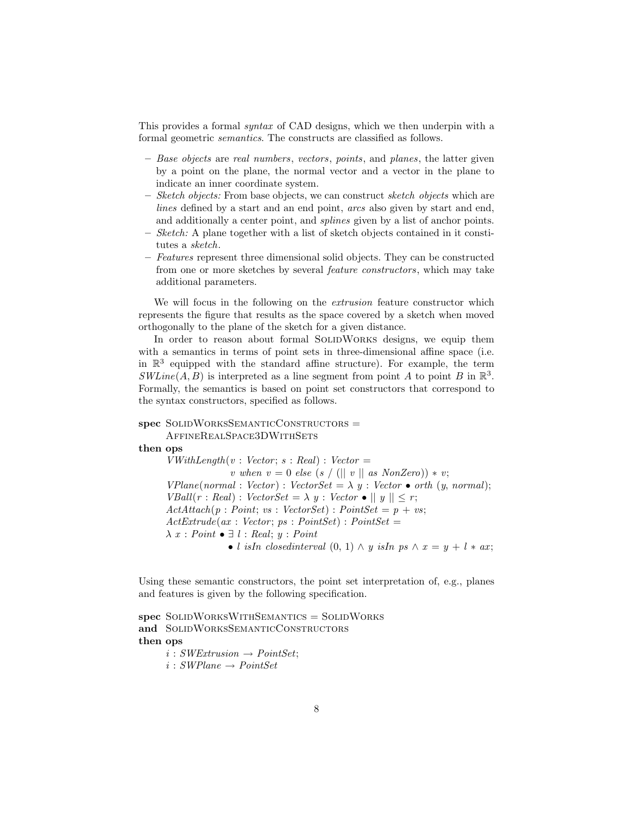This provides a formal syntax of CAD designs, which we then underpin with a formal geometric semantics. The constructs are classified as follows.

- Base objects are real numbers, vectors, points, and planes, the latter given by a point on the plane, the normal vector and a vector in the plane to indicate an inner coordinate system.
- $-$  Sketch objects: From base objects, we can construct sketch objects which are lines defined by a start and an end point, arcs also given by start and end, and additionally a center point, and splines given by a list of anchor points.
- Sketch: A plane together with a list of sketch objects contained in it constitutes a sketch.
- Features represent three dimensional solid objects. They can be constructed from one or more sketches by several feature constructors, which may take additional parameters.

We will focus in the following on the *extrusion* feature constructor which represents the figure that results as the space covered by a sketch when moved orthogonally to the plane of the sketch for a given distance.

In order to reason about formal SOLIDWORKS designs, we equip them with a semantics in terms of point sets in three-dimensional affine space (i.e. in  $\mathbb{R}^3$  equipped with the standard affine structure). For example, the term  $SWLine(A, B)$  is interpreted as a line segment from point A to point B in  $\mathbb{R}^3$ . Formally, the semantics is based on point set constructors that correspond to the syntax constructors, specified as follows.

#### spec SolidWorksSemanticConstructors = AffineRealSpace3DWithSets

### then ops

 $VWithLength(v: Vector; s: Real): Vector =$ v when  $v = 0$  else  $(s / || v ||$  as NonZero))  $* v;$  $VPlane(normal: Vector): VectorSet = \lambda y : Vector \bullet orth (y, normal);$  $VBall(r : Real) : VectorSet = \lambda y : Vector \bullet || y || \leq r;$  $ActAttack(p: Point; vs: VectorSet): PointSet = p + vs;$  $ActExtract(ax:Vector; ps: PointSet): PointSet =$  $\lambda x : Point \bullet \exists l : Real; y : Point$ • l isIn closedinterval  $(0, 1) \wedge y$  isIn ps  $\wedge x = y + l * ax$ ;

Using these semantic constructors, the point set interpretation of, e.g., planes and features is given by the following specification.

spec SolidWorksWithSemantics = SolidWorks and SolidWorksSemanticConstructors then ops  $i:SWExtusion \rightarrow PointSet;$ 

 $i: SWPlane \rightarrow PointSet$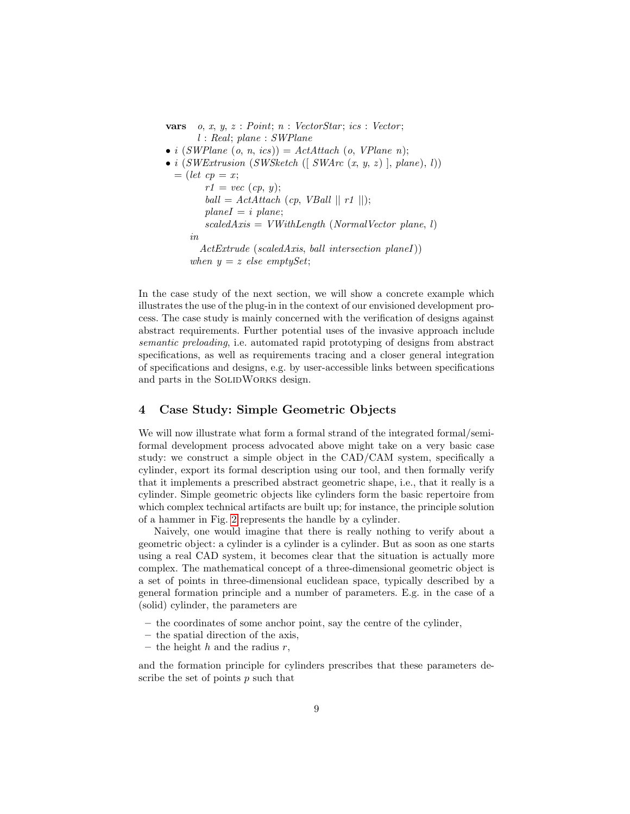vars  $o, x, y, z : Point; n : VectorStar; ics : Vector;$ l : Real; plane : SWPlane • i  $(SWPlane~(o, n, ics)) = ActAttach~(o, VPlane~n);$ • i (SWExtrusion (SWSketch ([ SWArc  $(x, y, z)$  ], plane), l))  $=$  (let cp = x;  $r1 = vec (cp, y);$  $ball = ActAttach$  (cp, VBall  $||$  r1  $||$ );  $planeI = i$  plane;  $scaledAxis = VWithLength (NormalVector plane, l)$ in ActExtrude (scaledAxis, ball intersection planeI)) when  $y = z$  else emptySet;

In the case study of the next section, we will show a concrete example which illustrates the use of the plug-in in the context of our envisioned development process. The case study is mainly concerned with the verification of designs against abstract requirements. Further potential uses of the invasive approach include semantic preloading, i.e. automated rapid prototyping of designs from abstract specifications, as well as requirements tracing and a closer general integration of specifications and designs, e.g. by user-accessible links between specifications and parts in the SOLIDWORKS design.

### <span id="page-8-0"></span>4 Case Study: Simple Geometric Objects

We will now illustrate what form a formal strand of the integrated formal/semiformal development process advocated above might take on a very basic case study: we construct a simple object in the CAD/CAM system, specifically a cylinder, export its formal description using our tool, and then formally verify that it implements a prescribed abstract geometric shape, i.e., that it really is a cylinder. Simple geometric objects like cylinders form the basic repertoire from which complex technical artifacts are built up; for instance, the principle solution of a hammer in Fig. [2](#page-4-0) represents the handle by a cylinder.

Naively, one would imagine that there is really nothing to verify about a geometric object: a cylinder is a cylinder is a cylinder. But as soon as one starts using a real CAD system, it becomes clear that the situation is actually more complex. The mathematical concept of a three-dimensional geometric object is a set of points in three-dimensional euclidean space, typically described by a general formation principle and a number of parameters. E.g. in the case of a (solid) cylinder, the parameters are

- the coordinates of some anchor point, say the centre of the cylinder,
- the spatial direction of the axis,
- the height h and the radius  $r$ ,

and the formation principle for cylinders prescribes that these parameters describe the set of points  $p$  such that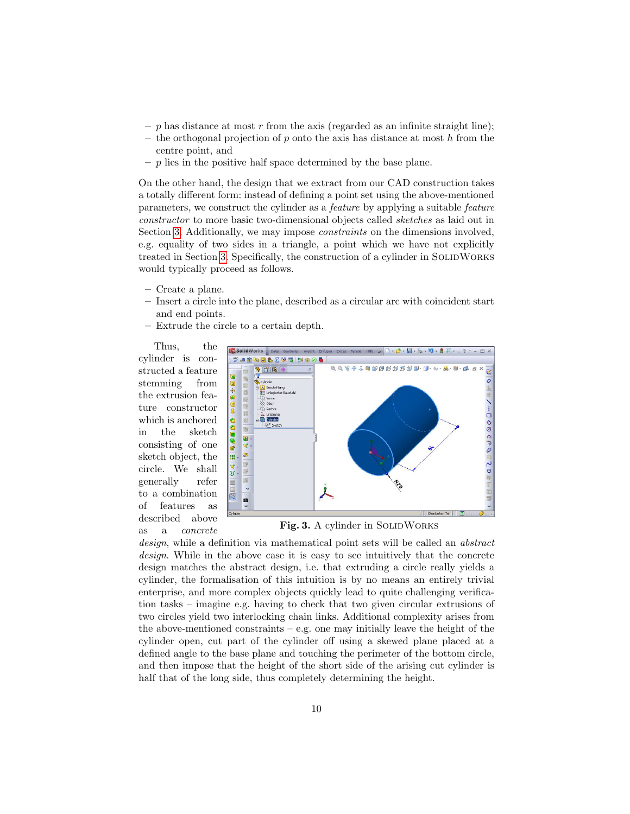- p has distance at most r from the axis (regarded as an infinite straight line);
- the orthogonal projection of p onto the axis has distance at most h from the centre point, and
- $p$  lies in the positive half space determined by the base plane.

On the other hand, the design that we extract from our CAD construction takes a totally different form: instead of defining a point set using the above-mentioned parameters, we construct the cylinder as a feature by applying a suitable feature constructor to more basic two-dimensional objects called sketches as laid out in Section [3.](#page-5-0) Additionally, we may impose constraints on the dimensions involved, e.g. equality of two sides in a triangle, a point which we have not explicitly treated in Section [3.](#page-5-0) Specifically, the construction of a cylinder in SOLIDWORKS would typically proceed as follows.

- Create a plane.
- Insert a circle into the plane, described as a circular arc with coincident start and end points.
- Extrude the circle to a certain depth.

Thus, the cylinder is constructed a feature stemming from the extrusion feature constructor which is anchored in the sketch consisting of one sketch object, the circle. We shall generally refer to a combination of features as described above as a concrete



Fig. 3. A cylinder in SOLIDWORKS

design, while a definition via mathematical point sets will be called an abstract design. While in the above case it is easy to see intuitively that the concrete design matches the abstract design, i.e. that extruding a circle really yields a cylinder, the formalisation of this intuition is by no means an entirely trivial enterprise, and more complex objects quickly lead to quite challenging verification tasks – imagine e.g. having to check that two given circular extrusions of two circles yield two interlocking chain links. Additional complexity arises from the above-mentioned constraints  $-$  e.g. one may initially leave the height of the cylinder open, cut part of the cylinder off using a skewed plane placed at a defined angle to the base plane and touching the perimeter of the bottom circle, and then impose that the height of the short side of the arising cut cylinder is half that of the long side, thus completely determining the height.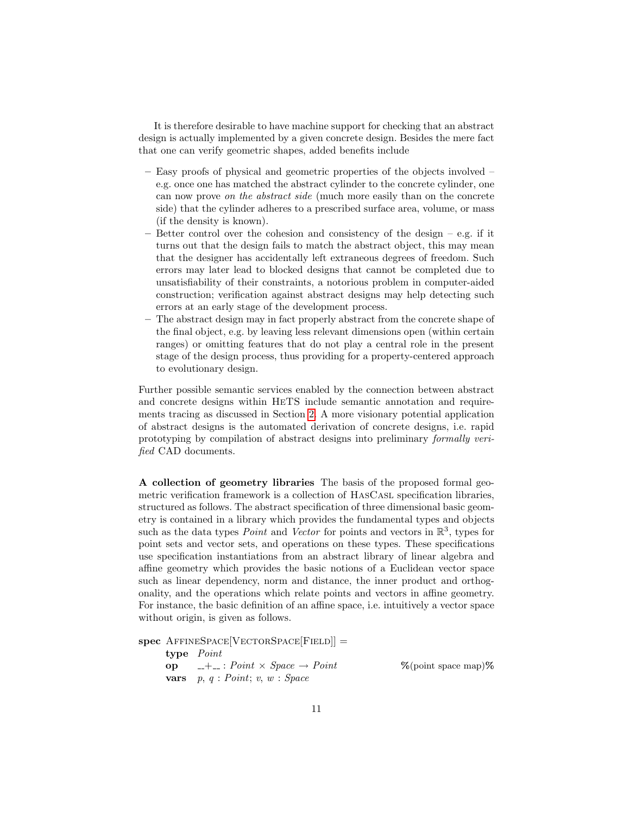It is therefore desirable to have machine support for checking that an abstract design is actually implemented by a given concrete design. Besides the mere fact that one can verify geometric shapes, added benefits include

- Easy proofs of physical and geometric properties of the objects involved e.g. once one has matched the abstract cylinder to the concrete cylinder, one can now prove on the abstract side (much more easily than on the concrete side) that the cylinder adheres to a prescribed surface area, volume, or mass (if the density is known).
- Better control over the cohesion and consistency of the design e.g. if it turns out that the design fails to match the abstract object, this may mean that the designer has accidentally left extraneous degrees of freedom. Such errors may later lead to blocked designs that cannot be completed due to unsatisfiability of their constraints, a notorious problem in computer-aided construction; verification against abstract designs may help detecting such errors at an early stage of the development process.
- The abstract design may in fact properly abstract from the concrete shape of the final object, e.g. by leaving less relevant dimensions open (within certain ranges) or omitting features that do not play a central role in the present stage of the design process, thus providing for a property-centered approach to evolutionary design.

Further possible semantic services enabled by the connection between abstract and concrete designs within HeTS include semantic annotation and requirements tracing as discussed in Section [2.](#page-1-0) A more visionary potential application of abstract designs is the automated derivation of concrete designs, i.e. rapid prototyping by compilation of abstract designs into preliminary formally verified CAD documents.

A collection of geometry libraries The basis of the proposed formal geometric verification framework is a collection of HasCasl specification libraries, structured as follows. The abstract specification of three dimensional basic geometry is contained in a library which provides the fundamental types and objects such as the data types *Point* and *Vector* for points and vectors in  $\mathbb{R}^3$ , types for point sets and vector sets, and operations on these types. These specifications use specification instantiations from an abstract library of linear algebra and affine geometry which provides the basic notions of a Euclidean vector space such as linear dependency, norm and distance, the inner product and orthogonality, and the operations which relate points and vectors in affine geometry. For instance, the basic definition of an affine space, i.e. intuitively a vector space without origin, is given as follows.

 $spec$  AffineSpace[VectorSpace[Field]] = type Point op  $-+$  : Point  $\times Space \rightarrow Point$  %(point space map)% vars  $p, q : Point; v, w : Space$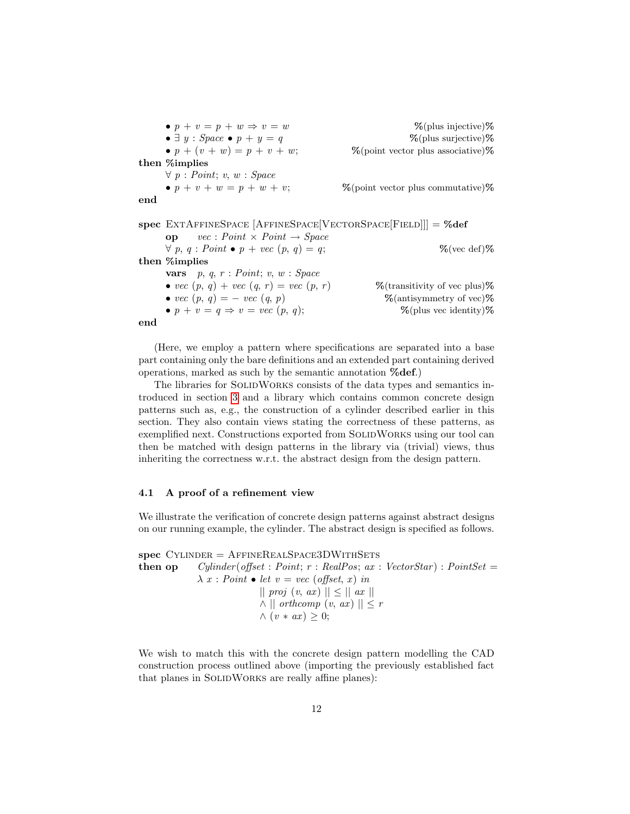|     | $p + v = p + w \Rightarrow v = w$                                   | $\%$ (plus injective) $\%$                |
|-----|---------------------------------------------------------------------|-------------------------------------------|
|     | $\bullet \exists y : Space \bullet p + y = q$                       | $\%$ (plus surjective) $\%$               |
|     | • $p + (v + w) = p + v + w;$                                        | $\%$ (point vector plus associative) $\%$ |
|     | then % implies                                                      |                                           |
|     | $\forall p : Point; v, w : Space$                                   |                                           |
|     | $p + v + w = p + w + v;$                                            | $\%$ (point vector plus commutative) $\%$ |
| end |                                                                     |                                           |
|     |                                                                     |                                           |
|     | spec EXTAFFINESPACE $[AfterINESPACE[VectorSPACE[FileLD]]] = \% def$ |                                           |
|     | <b>op</b> $vec : Point \times Point \rightarrow Space$              |                                           |
|     | $\forall p, q : Point \bullet p + vec(p, q) = q;$                   | $\%$ (vec def) $\%$                       |
|     | then %implies                                                       |                                           |
|     | vars $p, q, r : Point; v, w : Space$                                |                                           |
|     | • vec $(p, q) + vec (q, r) = vec (p, r)$                            | $\%$ (transitivity of vec plus) $\%$      |
|     | • vec $(p, q) = -vec(q, p)$                                         | $\%$ (antisymmetry of vec) $\%$           |
|     | • $p + v = q \Rightarrow v = vec(p, q);$                            | $\%$ (plus vec identity) $\%$             |
| end |                                                                     |                                           |

(Here, we employ a pattern where specifications are separated into a base part containing only the bare definitions and an extended part containing derived operations, marked as such by the semantic annotation %def.)

The libraries for SOLIDWORKS consists of the data types and semantics introduced in section [3](#page-5-0) and a library which contains common concrete design patterns such as, e.g., the construction of a cylinder described earlier in this section. They also contain views stating the correctness of these patterns, as exemplified next. Constructions exported from SOLIDWORKS using our tool can then be matched with design patterns in the library via (trivial) views, thus inheriting the correctness w.r.t. the abstract design from the design pattern.

#### 4.1 A proof of a refinement view

We illustrate the verification of concrete design patterns against abstract designs on our running example, the cylinder. The abstract design is specified as follows.

 $spec$  Cylinder = AffineRealSpace3DWithSets **then op** Cylinder (offset : Point;  $r : RealPos$ ;  $ax : VectorStar$ ) : PointSet =  $\lambda x : Point \bullet let v = vec (offset, x) in$  $|| \text{ } proj \text{ } (v, \text{ } ax) || \le || \text{ } ax ||$  $\wedge \parallel orthcomp \ (v, ax) \ || \leq r$  $\wedge$   $(v * ax) \geq 0;$ 

We wish to match this with the concrete design pattern modelling the CAD construction process outlined above (importing the previously established fact that planes in SOLIDWORKS are really affine planes):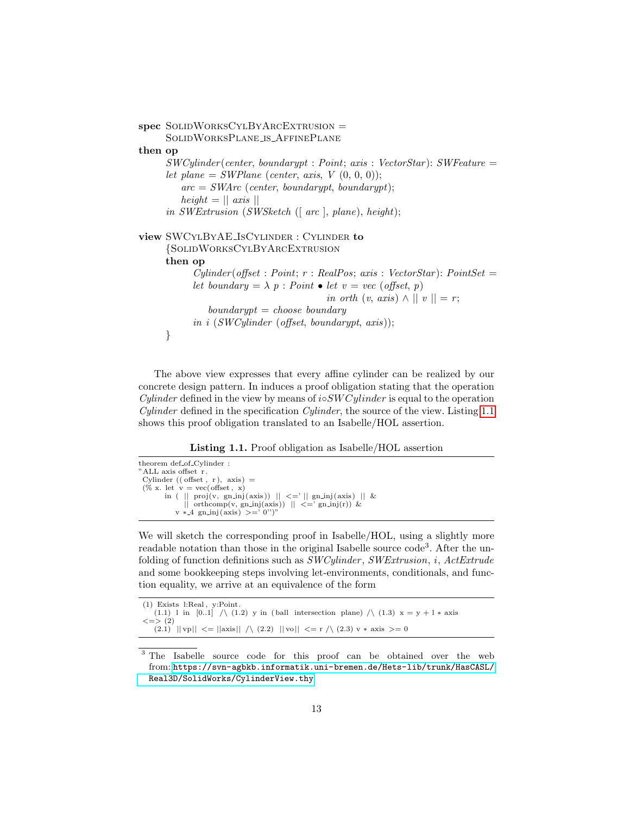$spec$  SOLIDWORKSCYLBYARCEXTRUSION = SolidWorksPlane is AffinePlane then op  $SWCylinder (center, boundary pt : Point; axis : VectorStar): SWFeature =$ let plane = SWPlane (center, axis,  $V(0, 0, 0)$ );  $arc = SWArc$  (center, boundarypt, boundarypt);  $height = || axis ||$ in SWExtrusion (SWSketch ([ arc ], plane), height); view SWCylByAE IsCylinder : Cylinder to {SolidWorksCylByArcExtrusion then op  $Cylinder (offset : Point; r : RealPos; axis : VectorStar): PointSet =$ let boundary  $= \lambda p$ : Point • let  $v = vec$  (offset, p) in orth  $(v, axis) \wedge || v || = r;$  $boundarypt = choose boundary$ in i  $(SWCylinder$  (offset, boundarypt, axis)); }

The above view expresses that every affine cylinder can be realized by our concrete design pattern. In induces a proof obligation stating that the operation Cylinder defined in the view by means of i∘ $SWCylinder$  is equal to the operation Cylinder defined in the specification Cylinder, the source of the view. Listing [1.1](#page-12-0) shows this proof obligation translated to an Isabelle/HOL assertion.

Listing 1.1. Proof obligation as Isabelle/HOL assertion

<span id="page-12-0"></span>theorem def\_of\_Cylinder : "ALL axis offset r . Cylinder ((offset,  $r$ ),  $axis$ ) =  $(\% x. \text{ let } y = \text{vec}(\text{offset}, x))$ in (  $||$  proj(v, gn\_inj(axis))  $|| \leq^2 ||$  gn\_inj(axis)  $|| \&$  direct or  $\log(v, g_n \in \mathcal{G}(x; s))$   $|| \leq^2$  gn\_inj(r)) &  $v * 4$  gn inj( $axis$ ) >=' 0'')"

We will sketch the corresponding proof in Isabelle/HOL, using a slightly more readable notation than those in the original Isabelle source code<sup>3</sup>. After the unfolding of function definitions such as  $SWCylinder$ , SWExtrusion, i, ActExtrude and some bookkeeping steps involving let-environments, conditionals, and function equality, we arrive at an equivalence of the form

```
(1) Exists l:Real , y:Point .
(1.1) l in [0..1] \left/\right (1.2) y in ( ball intersection plane) \left/\right (1.3) x = y + 1 * axis\iff (2)(2.1) || vp|| \langle = |||axis|| / \rangle (2.2) || vo|| \langle = r / \rangle (2.3) v * axis \rangle = 0
```
<sup>3</sup> The Isabelle source code for this proof can be obtained over the web from: [https://svn-agbkb.informatik.uni-bremen.de/Hets-lib/trunk/HasCASL/](https://svn-agbkb.informatik.uni-bremen.de/Hets-lib/trunk/HasCASL/Real3D/SolidWorks/CylinderView.thy) [Real3D/SolidWorks/CylinderView.thy](https://svn-agbkb.informatik.uni-bremen.de/Hets-lib/trunk/HasCASL/Real3D/SolidWorks/CylinderView.thy)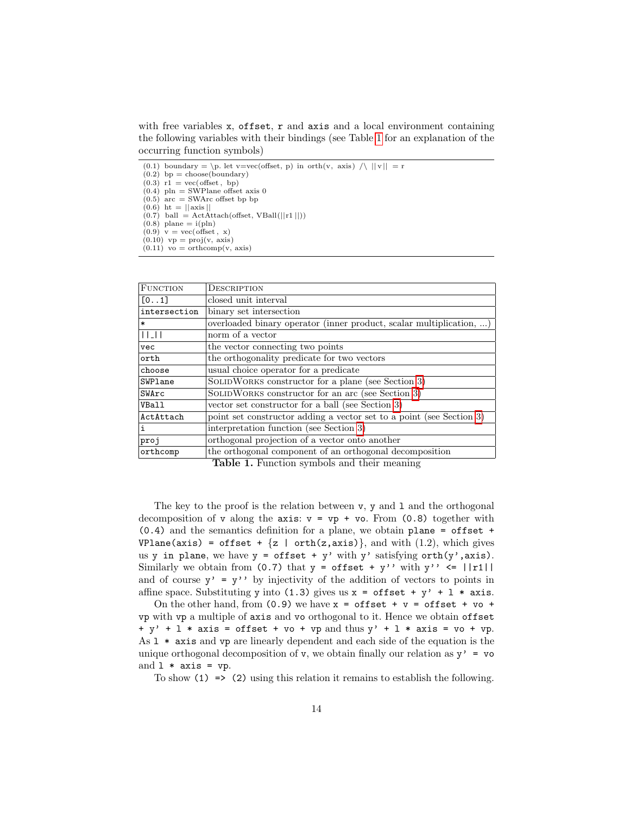with free variables x, offset, r and axis and a local environment containing the following variables with their bindings (see Table [1](#page-13-0) for an explanation of the occurring function symbols)

(0.1) boundary = \p. let v=vec(offset, p) in orth(v, axis)  $/ \ |v|| = r$ 

 $(0.2)$  bp = choose(boundary)

 $(0.3)$  r1 = vec(offset, bp) (0.4) pln = SWPlane offset axis 0

 $(0.5)$  arc = SWArc offset bp bp

 $(0.6)$  ht =  $||axis||$ 

 $(0.7)\ \ \mathrm{ball}\ = \ \mathrm{ActAttach(offset,~VBall(||r1~||))}$ 

 $(0.8)$  plane =  $i(\text{pln})$ 

 $(0.9)$  v = vec(offset, x)  $(0.10)$  vp = proj(v, axis)

 $(0.11)$  vo = orthcomp(v, axis)

| <b>FUNCTION</b> | DESCRIPTION                                                                                                    |
|-----------------|----------------------------------------------------------------------------------------------------------------|
| [0.11]          | closed unit interval                                                                                           |
| intersection    | binary set intersection                                                                                        |
| $\ast$          | overloaded binary operator (inner product, scalar multiplication, )                                            |
| $  \cdot  $     | norm of a vector                                                                                               |
| vec             | the vector connecting two points                                                                               |
| orth            | the orthogonality predicate for two vectors                                                                    |
| choose          | usual choice operator for a predicate                                                                          |
| SWPlane         | SOLIDWORKS constructor for a plane (see Section 3)                                                             |
| SWArc           | SOLIDWORKS constructor for an arc (see Section 3)                                                              |
| <b>VBall</b>    | vector set constructor for a ball (see Section 3)                                                              |
| ActAttach       | point set constructor adding a vector set to a point (see Section 3)                                           |
| ı               | interpretation function (see Section 3)                                                                        |
| proj            | orthogonal projection of a vector onto another                                                                 |
| orthcomp        | the orthogonal component of an orthogonal decomposition                                                        |
|                 | music in the contract of the contract of the contract of the contract of the contract of the contract of the c |

<span id="page-13-0"></span>Table 1. Function symbols and their meaning

The key to the proof is the relation between v, y and 1 and the orthogonal decomposition of v along the axis:  $v = vp + vo$ . From (0.8) together with (0.4) and the semantics definition for a plane, we obtain plane = offset + VPlane(axis) = offset + {z | orth(z,axis)}, and with (1.2), which gives us y in plane, we have  $y =$  offset + y' with y' satisfying orth(y', axis). Similarly we obtain from (0.7) that  $y = \text{offset} + y'$  with  $y' \leq ||r1||$ and of course  $y' = y'$  by injectivity of the addition of vectors to points in affine space. Substituting y into (1.3) gives us  $x =$  offset +  $y' + 1$  \* axis.

On the other hand, from  $(0.9)$  we have  $x =$  offset +  $v =$  offset +  $vo +$ vp with vp a multiple of axis and vo orthogonal to it. Hence we obtain offset + y' + 1 \* axis = offset + vo + vp and thus  $y'$  + 1 \* axis = vo + vp. As l \* axis and vp are linearly dependent and each side of the equation is the unique orthogonal decomposition of  $v$ , we obtain finally our relation as  $y' = v\circ$ and  $1 * axis = vp$ .

To show  $(1) \Rightarrow (2)$  using this relation it remains to establish the following.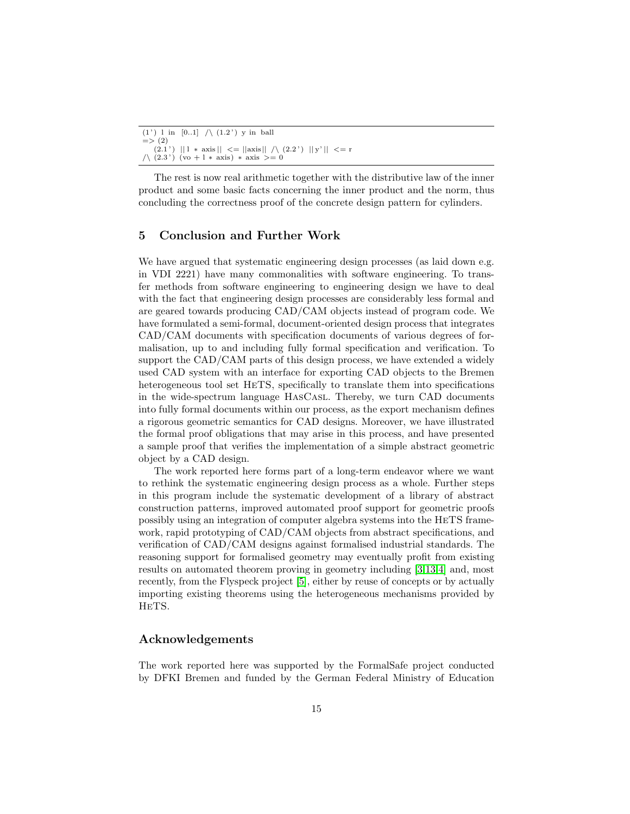$(1')$  l in  $[0..1]$   $\wedge$   $(1.2')$  y in ball  $\Rightarrow$  (2)  $(2.1')$  || l \* axis || <= ||axis || /\  $(2.2')$  || y' || <= r  $/ \backslash (2.3') (\text{vo} + 1 * \text{axis}) * \text{axis} > = 0$ 

The rest is now real arithmetic together with the distributive law of the inner product and some basic facts concerning the inner product and the norm, thus concluding the correctness proof of the concrete design pattern for cylinders.

# 5 Conclusion and Further Work

We have argued that systematic engineering design processes (as laid down e.g. in VDI 2221) have many commonalities with software engineering. To transfer methods from software engineering to engineering design we have to deal with the fact that engineering design processes are considerably less formal and are geared towards producing CAD/CAM objects instead of program code. We have formulated a semi-formal, document-oriented design process that integrates CAD/CAM documents with specification documents of various degrees of formalisation, up to and including fully formal specification and verification. To support the CAD/CAM parts of this design process, we have extended a widely used CAD system with an interface for exporting CAD objects to the Bremen heterogeneous tool set HeTS, specifically to translate them into specifications in the wide-spectrum language HasCasl. Thereby, we turn CAD documents into fully formal documents within our process, as the export mechanism defines a rigorous geometric semantics for CAD designs. Moreover, we have illustrated the formal proof obligations that may arise in this process, and have presented a sample proof that verifies the implementation of a simple abstract geometric object by a CAD design.

The work reported here forms part of a long-term endeavor where we want to rethink the systematic engineering design process as a whole. Further steps in this program include the systematic development of a library of abstract construction patterns, improved automated proof support for geometric proofs possibly using an integration of computer algebra systems into the HeTS framework, rapid prototyping of CAD/CAM objects from abstract specifications, and verification of CAD/CAM designs against formalised industrial standards. The reasoning support for formalised geometry may eventually profit from existing results on automated theorem proving in geometry including [\[3,](#page-15-9)[13,](#page-15-10)[4\]](#page-15-11) and, most recently, from the Flyspeck project [\[5\]](#page-15-12), either by reuse of concepts or by actually importing existing theorems using the heterogeneous mechanisms provided by HeTS.

# Acknowledgements

The work reported here was supported by the FormalSafe project conducted by DFKI Bremen and funded by the German Federal Ministry of Education